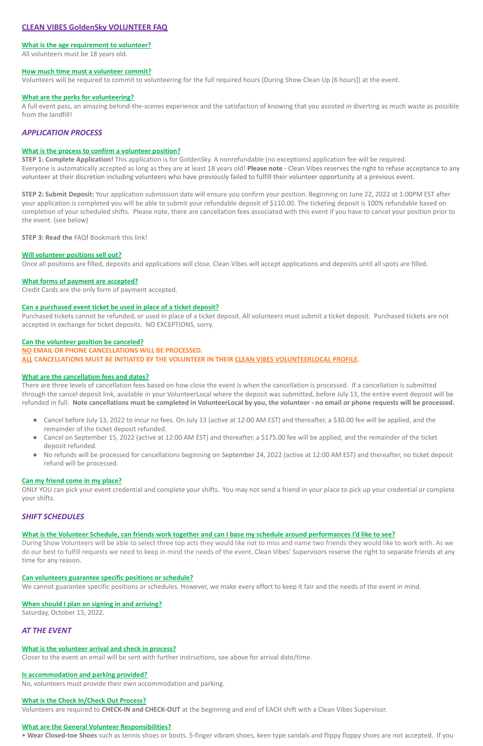# **CLEAN VIBES GoldenSky VOLUNTEER FAQ**

## **What is the age requirement to volunteer?**

All volunteers must be 18 years old.

#### **How much time must a volunteer commit?**

Volunteers will be required to commit to volunteering for the full required hours (During Show Clean Up [6 hours]) at the event.

#### **What are the perks for volunteering?**

A full event pass, an amazing behind-the-scenes experience and the satisfaction of knowing that you assisted in diverting as much waste as possible from the landfill!

# *APPLICATION PROCESS*

## **What is the process to confirm a volunteer position?**

**STEP 1: Complete Application!** This application is for GoldenSky. A nonrefundable (no exceptions) application fee will be required. Everyone is automatically accepted as long as they are at least 18 years old! **Please note** - Clean Vibes reserves the right to refuse acceptance to any volunteer at their discretion including volunteers who have previously failed to fulfill their volunteer opportunity at a previous event.

**STEP 2: Submit Deposit:** Your application submission date will ensure you confirm your position. Beginning on June 22, 2022 at 1:00PM EST after your application is completed you will be able to submit your refundable deposit of \$110.00. The ticketing deposit is 100% refundable based on completion of your scheduled shifts. Please note, there are cancellation fees associated with this event if you have to cancel your position prior to the event. (see below)

**STEP 3: Read the** FAQ**!** Bookmark this link!

#### **Will volunteer positions sell out?**

Once all positions are filled, deposits and applications will close. Clean Vibes will accept applications and deposits until all spots are filled.

- Cancel before July 13, 2022 to incur no fees. On July 13 (active at 12:00 AM EST) and thereafter, a \$30.00 fee will be applied, and the remainder of the ticket deposit refunded.
- Cancel on September 15, 2022 (active at 12:00 AM EST) and thereafter, a \$175.00 fee will be applied, and the remainder of the ticket deposit refunded.
- No refunds will be processed for cancellations beginning on September 24, 2022 (active at 12:00 AM EST) and thereafter, no ticket deposit refund will be processed.

#### **What forms of payment are accepted?**

Credit Cards are the only form of payment accepted.

## **Can a purchased event ticket be used in place of a ticket deposit?**

Purchased tickets cannot be refunded, or used in place of a ticket deposit. All volunteers must submit a ticket deposit. Purchased tickets are not accepted in exchange for ticket deposits. NO EXCEPTIONS, sorry.

#### **Can the volunteer position be canceled?**

**NO EMAIL OR PHONE CANCELLATIONS WILL BE PROCESSED. ALL CANCELLATIONS MUST BE INITIATED BY THE VOLUNTEER IN THEIR CLEAN VIBES VOLUNTEERLOCAL PROFILE.**

## **What are the cancellation fees and dates?**

There are three levels of cancellation fees based on how close the event is when the cancellation is processed. If a cancellation is submitted through the cancel deposit link, available in your VolunteerLocal where the deposit was submitted, before July 13, the entire event deposit will be refunded in full. **Note cancellations must be completed in VolunteerLocal by you, the volunteer - no email or phone requests will be processed.**

## **Can my friend come in my place?**

ONLY YOU can pick your event credential and complete your shifts. You may not send a friend in your place to pick up your credential or complete your shifts.

# *SHIFT SCHEDULES*

## **What is the Volunteer Schedule, can friends work together and can I base my schedule around performances I'd like to see?**

During Show Volunteers will be able to select three top acts they would like not to miss and name two friends they would like to work with. As we

do our best to fulfill requests we need to keep in mind the needs of the event. Clean Vibes' Supervisors reserve the right to separate friends at any time for any reason.

#### **Can volunteers guarantee specific positions or schedule?**

We cannot guarantee specific positions or schedules. However, we make every effort to keep it fair and the needs of the event in mind.

#### **When should I plan on signing in and arriving?**

Saturday, October 15, 2022.

# *AT THE EVENT*

#### **What is the volunteer arrival and check in process?**

Closer to the event an email will be sent with further instructions, see above for arrival date/time.

#### **Is accommodation and parking provided?**

No, volunteers must provide their own accommodation and parking.

#### **What is the Check In/Check Out Process?**

Volunteers are required to **CHECK-IN and CHECK-OUT** at the beginning and end of EACH shift with a Clean Vibes Supervisor.

#### **What are the General Volunteer Responsibilities?**

• **Wear Closed-toe Shoes** such as tennis shoes or boots. 5-finger vibram shoes, keen type sandals and flippy floppy shoes are not accepted. If you